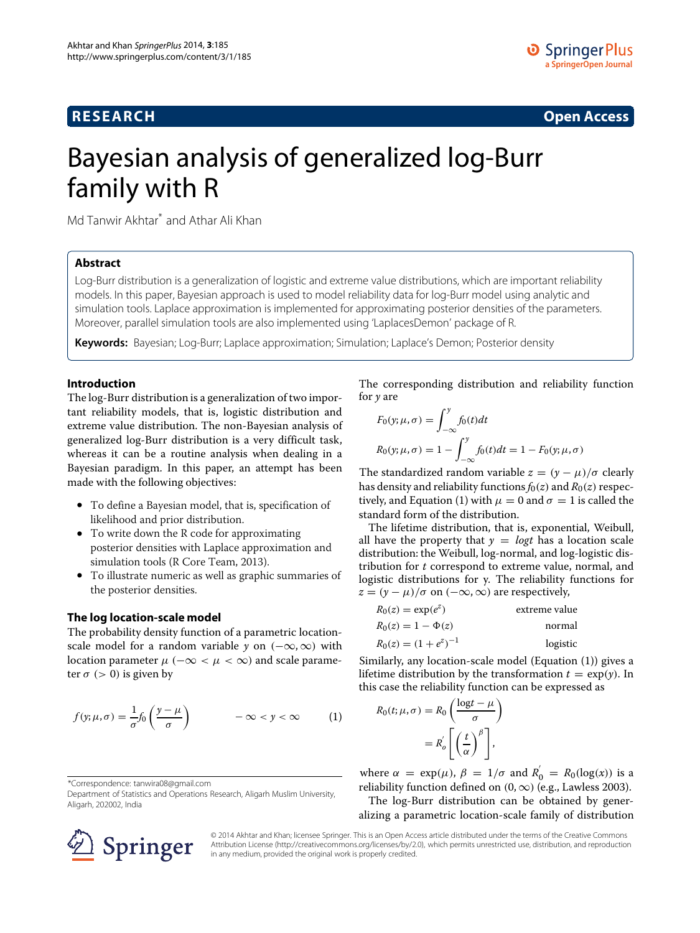**RESEARCH Open Access**

# Bayesian analysis of generalized log-Burr family with R

Md Tanwir Akhtar\* and Athar Ali Khan

# **Abstract**

Log-Burr distribution is a generalization of logistic and extreme value distributions, which are important reliability models. In this paper, Bayesian approach is used to model reliability data for log-Burr model using analytic and simulation tools. Laplace approximation is implemented for approximating posterior densities of the parameters. Moreover, parallel simulation tools are also implemented using 'LaplacesDemon' package of R.

**Keywords:** Bayesian; Log-Burr; Laplace approximation; Simulation; Laplace's Demon; Posterior density

## **Introduction**

The log-Burr distribution is a generalization of two important reliability models, that is, logistic distribution and extreme value distribution. The non-Bayesian analysis of generalized log-Burr distribution is a very difficult task, whereas it can be a routine analysis when dealing in a Bayesian paradigm. In this paper, an attempt has been made with the following objectives:

- To define a Bayesian model, that is, specification of likelihood and prior distribution.
- To write down the R code for approximating posterior densities with Laplace approximation and simulation tools (R Core Team, [2013\)](#page-9-0).
- To illustrate numeric as well as graphic summaries of the posterior densities.

#### **The log location-scale model**

The probability density function of a parametric locationscale model for a random variable  $\gamma$  on  $(-\infty, \infty)$  with location parameter  $\mu$  ( $-\infty < \mu < \infty$ ) and scale parameter  $\sigma$  (> 0) is given by

<span id="page-0-0"></span>
$$
f(y; \mu, \sigma) = \frac{1}{\sigma} f_0 \left( \frac{y - \mu}{\sigma} \right) \qquad -\infty < y < \infty \qquad (1)
$$

Department of Statistics and Operations Research, Aligarh Muslim University,

The corresponding distribution and reliability function for *y* are

$$
F_0(y; \mu, \sigma) = \int_{-\infty}^{y} f_0(t)dt
$$
  
\n
$$
R_0(y; \mu, \sigma) = 1 - \int_{-\infty}^{y} f_0(t)dt = 1 - F_0(y; \mu, \sigma)
$$

The standardized random variable  $z = (y - \mu)/\sigma$  clearly has density and reliability functions  $f_0(z)$  and  $R_0(z)$  respec-tively, and Equation [\(1\)](#page-0-0) with  $\mu = 0$  and  $\sigma = 1$  is called the standard form of the distribution.

The lifetime distribution, that is, exponential, Weibull, all have the property that  $y = log t$  has a location scale distribution: the Weibull, log-normal, and log-logistic distribution for *t* correspond to extreme value, normal, and logistic distributions for y. The reliability functions for  $z = (y - \mu)/\sigma$  on  $(-\infty, \infty)$  are respectively,

| $R_0(z) = \exp(e^z)$    | extreme value |
|-------------------------|---------------|
| $R_0(z) = 1 - \Phi(z)$  | normal        |
| $R_0(z) = (1+e^z)^{-1}$ | logistic      |

Similarly, any location-scale model (Equation [\(1\)](#page-0-0)) gives a lifetime distribution by the transformation  $t = \exp(y)$ . In this case the reliability function can be expressed as

$$
R_0(t; \mu, \sigma) = R_0 \left( \frac{\log t - \mu}{\sigma} \right)
$$

$$
= R'_o \left[ \left( \frac{t}{\alpha} \right)^{\beta} \right],
$$

where  $\alpha = \exp(\mu)$ ,  $\beta = 1/\sigma$  and  $R_0 = R_0(\log(x))$  is a reliability function defined on  $(0, \infty)$  (e.g., Lawless [2003\)](#page-9-1).

The log-Burr distribution can be obtained by generalizing a parametric location-scale family of distribution



Aligarh, 202002, India

\*Correspondence: [tanwira08@gmail.com](mailto:tanwira08@gmail.com)

© 2014 Akhtar and Khan; licensee Springer. This is an Open Access article distributed under the terms of the Creative Commons Attribution License [\(http://creativecommons.org/licenses/by/2.0\)](http://creativecommons.org/licenses/by/2.0), which permits unrestricted use, distribution, and reproduction in any medium, provided the original work is properly credited.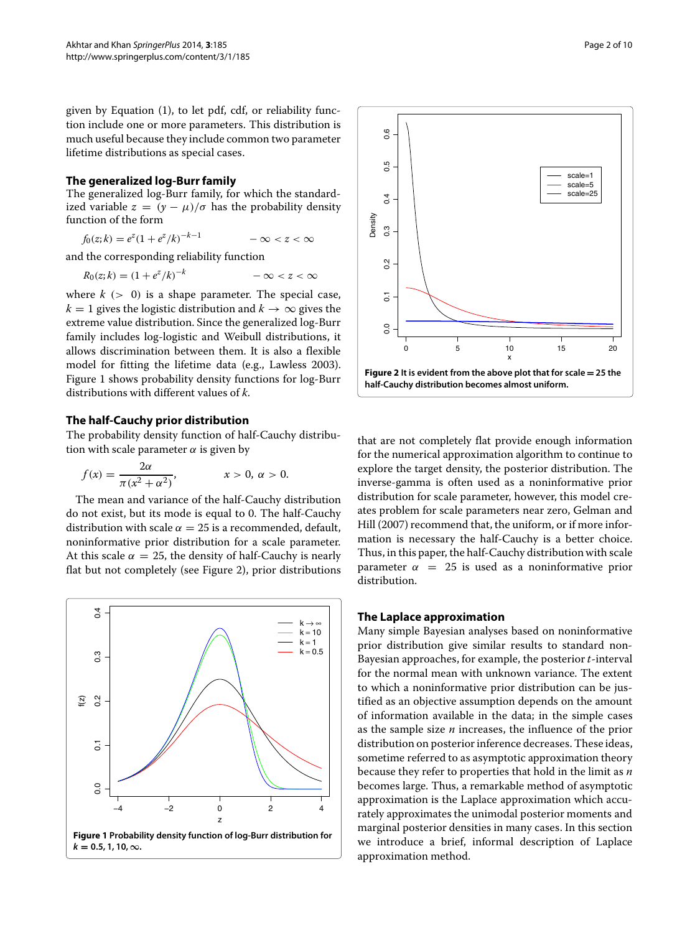given by Equation [\(1\)](#page-0-0), to let pdf, cdf, or reliability function include one or more parameters. This distribution is much useful because they include common two parameter lifetime distributions as special cases.

#### **The generalized log-Burr family**

The generalized log-Burr family, for which the standardized variable  $z = (y - \mu)/\sigma$  has the probability density function of the form

$$
f_0(z;k) = e^z (1 + e^z / k)^{-k-1} \qquad -\infty < z < \infty
$$

and the corresponding reliability function

$$
R_0(z;k) = (1 + e^z/k)^{-k} \qquad -\infty < z < \infty
$$

where  $k$  ( $>$  0) is a shape parameter. The special case, *k* = 1 gives the logistic distribution and *k*  $\rightarrow \infty$  gives the extreme value distribution. Since the generalized log-Burr family includes log-logistic and Weibull distributions, it allows discrimination between them. It is also a flexible model for fitting the lifetime data (e.g., Lawless [2003\)](#page-9-1). Figure [1](#page-1-0) shows probability density functions for log-Burr distributions with different values of *k*.

#### **The half-Cauchy prior distribution**

The probability density function of half-Cauchy distribution with scale parameter  $\alpha$  is given by

$$
f(x) = \frac{2\alpha}{\pi(x^2 + \alpha^2)}, \qquad x > 0, \ \alpha > 0.
$$

The mean and variance of the half-Cauchy distribution do not exist, but its mode is equal to 0. The half-Cauchy distribution with scale  $\alpha = 25$  is a recommended, default, noninformative prior distribution for a scale parameter. At this scale  $\alpha = 25$ , the density of half-Cauchy is nearly flat but not completely (see Figure [2\)](#page-1-1), prior distributions

<span id="page-1-0"></span>



<span id="page-1-1"></span>that are not completely flat provide enough information for the numerical approximation algorithm to continue to explore the target density, the posterior distribution. The inverse-gamma is often used as a noninformative prior distribution for scale parameter, however, this model creates problem for scale parameters near zero, Gelman and Hill [\(2007\)](#page-9-2) recommend that, the uniform, or if more information is necessary the half-Cauchy is a better choice. Thus, in this paper, the half-Cauchy distribution with scale parameter  $\alpha$  = 25 is used as a noninformative prior distribution.

#### **The Laplace approximation**

Many simple Bayesian analyses based on noninformative prior distribution give similar results to standard non-Bayesian approaches, for example, the posterior*t*-interval for the normal mean with unknown variance. The extent to which a noninformative prior distribution can be justified as an objective assumption depends on the amount of information available in the data; in the simple cases as the sample size *n* increases, the influence of the prior distribution on posterior inference decreases. These ideas, sometime referred to as asymptotic approximation theory because they refer to properties that hold in the limit as *n* becomes large. Thus, a remarkable method of asymptotic approximation is the Laplace approximation which accurately approximates the unimodal posterior moments and marginal posterior densities in many cases. In this section we introduce a brief, informal description of Laplace approximation method.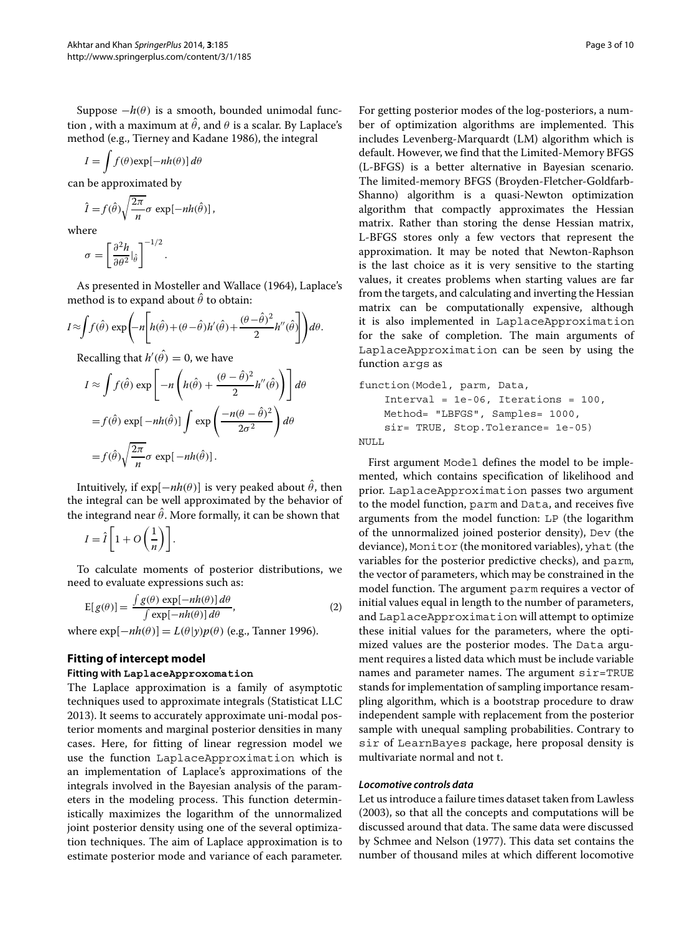Suppose  $-h(\theta)$  is a smooth, bounded unimodal function , with a maximum at  $\hat{\theta}$ , and  $\theta$  is a scalar. By Laplace's method (e.g., Tierney and Kadane [1986\)](#page-9-3), the integral

$$
I = \int f(\theta) \exp[-nh(\theta)] \, d\theta
$$

can be approximated by

$$
\hat{I} = f(\hat{\theta}) \sqrt{\frac{2\pi}{n}} \sigma \exp[-nh(\hat{\theta})],
$$

.

where

$$
\sigma = \left[\frac{\partial^2 h}{\partial \theta^2} \big|_{\hat{\theta}}\right]^{-1/2}
$$

As presented in Mosteller and Wallace [\(1964\)](#page-9-4), Laplace's method is to expand about  $\hat{\theta}$  to obtain:

$$
I \approx \int f(\hat{\theta}) \exp\left(-n \left[h(\hat{\theta}) + (\theta - \hat{\theta})h'(\hat{\theta}) + \frac{(\theta - \hat{\theta})^2}{2}h''(\hat{\theta})\right]\right) d\theta.
$$

Recalling that  $h'(\theta) = 0$ , we have

$$
I \approx \int f(\hat{\theta}) \exp\left[-n\left(h(\hat{\theta}) + \frac{(\theta - \hat{\theta})^2}{2}h''(\hat{\theta})\right)\right] d\theta
$$

$$
= f(\hat{\theta}) \exp[-nh(\hat{\theta})] \int \exp\left(\frac{-n(\theta - \hat{\theta})^2}{2\sigma^2}\right) d\theta
$$

$$
= f(\hat{\theta}) \sqrt{\frac{2\pi}{n}} \sigma \exp[-nh(\hat{\theta})].
$$

Intuitively, if  $exp[-nh(\theta)]$  is very peaked about  $\hat{\theta}$ , then the integral can be well approximated by the behavior of the integrand near  $\hat{\theta}$ . More formally, it can be shown that

$$
I = \hat{I}\left[1 + O\left(\frac{1}{n}\right)\right].
$$

To calculate moments of posterior distributions, we need to evaluate expressions such as:

$$
E[g(\theta)] = \frac{\int g(\theta) \exp[-nh(\theta)] d\theta}{\int \exp[-nh(\theta)] d\theta},
$$
\n(2)

where  $\exp[-nh(\theta)] = L(\theta|\gamma)p(\theta)$  (e.g., Tanner [1996\)](#page-9-5).

# **Fitting of intercept model**

#### **Fitting with LaplaceApproxomation**

The Laplace approximation is a family of asymptotic techniques used to approximate integrals (Statisticat LLC [2013\)](#page-9-6). It seems to accurately approximate uni-modal posterior moments and marginal posterior densities in many cases. Here, for fitting of linear regression model we use the function LaplaceApproximation which is an implementation of Laplace's approximations of the integrals involved in the Bayesian analysis of the parameters in the modeling process. This function deterministically maximizes the logarithm of the unnormalized joint posterior density using one of the several optimization techniques. The aim of Laplace approximation is to estimate posterior mode and variance of each parameter. For getting posterior modes of the log-posteriors, a number of optimization algorithms are implemented. This includes Levenberg-Marquardt (LM) algorithm which is default. However, we find that the Limited-Memory BFGS (L-BFGS) is a better alternative in Bayesian scenario. The limited-memory BFGS (Broyden-Fletcher-Goldfarb-Shanno) algorithm is a quasi-Newton optimization algorithm that compactly approximates the Hessian matrix. Rather than storing the dense Hessian matrix, L-BFGS stores only a few vectors that represent the approximation. It may be noted that Newton-Raphson is the last choice as it is very sensitive to the starting values, it creates problems when starting values are far from the targets, and calculating and inverting the Hessian matrix can be computationally expensive, although it is also implemented in LaplaceApproximation for the sake of completion. The main arguments of LaplaceApproximation can be seen by using the function args as

function(Model, parm, Data, Interval =  $1e-06$ , Iterations =  $100$ , Method= "LBFGS", Samples= 1000, sir= TRUE, Stop.Tolerance= 1e-05) NULL.

First argument Model defines the model to be implemented, which contains specification of likelihood and prior. LaplaceApproximation passes two argument to the model function, parm and Data, and receives five arguments from the model function: LP (the logarithm of the unnormalized joined posterior density), Dev (the deviance), Monitor (the monitored variables), yhat (the variables for the posterior predictive checks), and parm, the vector of parameters, which may be constrained in the model function. The argument parm requires a vector of initial values equal in length to the number of parameters, and LaplaceApproximation will attempt to optimize these initial values for the parameters, where the optimized values are the posterior modes. The Data argument requires a listed data which must be include variable names and parameter names. The argument sir=TRUE stands for implementation of sampling importance resampling algorithm, which is a bootstrap procedure to draw independent sample with replacement from the posterior sample with unequal sampling probabilities. Contrary to sir of LearnBayes package, here proposal density is multivariate normal and not t.

#### *Locomotive controls data*

Let us introduce a failure times dataset taken from Lawless [\(2003\)](#page-9-1), so that all the concepts and computations will be discussed around that data. The same data were discussed by Schmee and Nelson [\(1977\)](#page-9-7). This data set contains the number of thousand miles at which different locomotive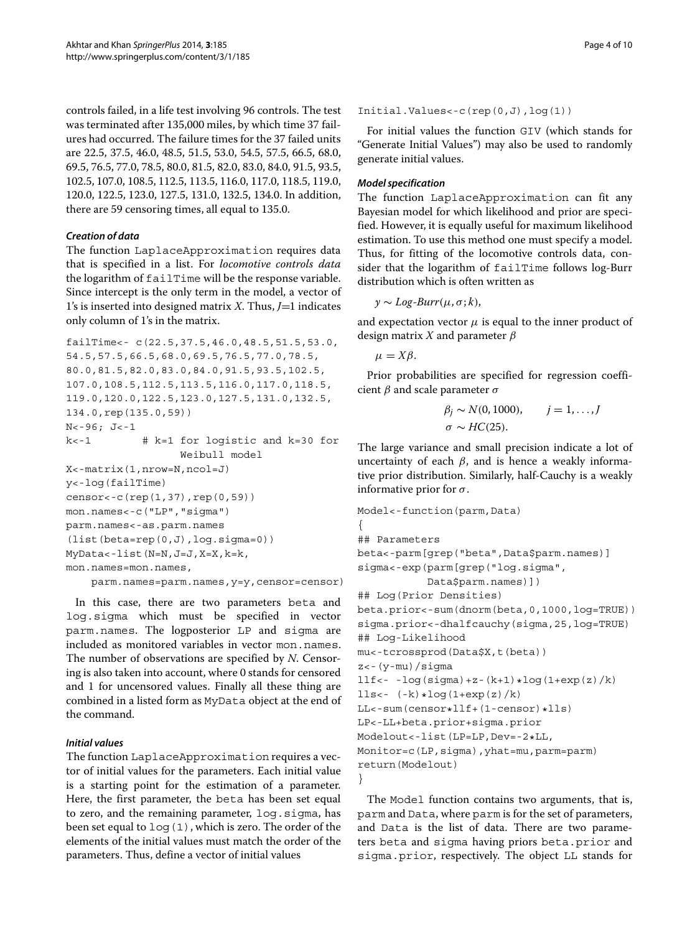controls failed, in a life test involving 96 controls. The test was terminated after 135,000 miles, by which time 37 failures had occurred. The failure times for the 37 failed units are 22.5, 37.5, 46.0, 48.5, 51.5, 53.0, 54.5, 57.5, 66.5, 68.0, 69.5, 76.5, 77.0, 78.5, 80.0, 81.5, 82.0, 83.0, 84.0, 91.5, 93.5, 102.5, 107.0, 108.5, 112.5, 113.5, 116.0, 117.0, 118.5, 119.0, 120.0, 122.5, 123.0, 127.5, 131.0, 132.5, 134.0. In addition, there are 59 censoring times, all equal to 135.0.

#### *Creation of data*

The function LaplaceApproximation requires data that is specified in a list. For *locomotive controls data* the logarithm of failTime will be the response variable. Since intercept is the only term in the model, a vector of 1's is inserted into designed matrix *X*. Thus, *J*=1 indicates only column of 1's in the matrix.

```
failTime<- c(22.5,37.5,46.0,48.5,51.5,53.0,
54.5,57.5,66.5,68.0,69.5,76.5,77.0,78.5,
80.0,81.5,82.0,83.0,84.0,91.5,93.5,102.5,
107.0,108.5,112.5,113.5,116.0,117.0,118.5,
119.0,120.0,122.5,123.0,127.5,131.0,132.5,
134.0,rep(135.0,59))
N < -96; J < -1k<-1 # k=1 for logistic and k=30 for
                  Weibull model
X<-matrix(1,nrow=N,ncol=J)
y<-log(failTime)
censor<-c(rep(1,37),rep(0,59))
mon.names<-c("LP","sigma")
parm.names<-as.parm.names
(list(beta=rep(0,J),log.sigma=0))
MyData<-list(N=N,J=J,X=X,k=k,
mon.names=mon.names,
```
parm.names=parm.names,y=y,censor=censor)

In this case, there are two parameters beta and log.sigma which must be specified in vector parm.names. The logposterior LP and sigma are included as monitored variables in vector mon.names. The number of observations are specified by *N*. Censoring is also taken into account, where 0 stands for censored and 1 for uncensored values. Finally all these thing are combined in a listed form as MyData object at the end of the command.

#### *Initial values*

The function LaplaceApproximation requires a vector of initial values for the parameters. Each initial value is a starting point for the estimation of a parameter. Here, the first parameter, the beta has been set equal to zero, and the remaining parameter, log.sigma, has been set equal to log(1), which is zero. The order of the elements of the initial values must match the order of the parameters. Thus, define a vector of initial values

Initial.Values<-c(rep(0,J),log(1))

For initial values the function GIV (which stands for "Generate Initial Values") may also be used to randomly generate initial values.

### *Model specification*

The function LaplaceApproximation can fit any Bayesian model for which likelihood and prior are specified. However, it is equally useful for maximum likelihood estimation. To use this method one must specify a model. Thus, for fitting of the locomotive controls data, consider that the logarithm of failTime follows log-Burr distribution which is often written as

$$
y \sim Log-Burr(\mu, \sigma; k),
$$

and expectation vector  $\mu$  is equal to the inner product of design matrix *X* and parameter  $\beta$ 

```
\mu = X\beta.
```
Prior probabilities are specified for regression coefficient  $\beta$  and scale parameter  $\sigma$ 

$$
\beta_j \sim N(0, 1000), \qquad j = 1, \ldots, J
$$

$$
\sigma \sim HC(25).
$$

The large variance and small precision indicate a lot of uncertainty of each  $β$ , and is hence a weakly informative prior distribution. Similarly, half-Cauchy is a weakly informative prior for  $\sigma$ .

```
Model<-function(parm,Data)
{
## Parameters
beta<-parm[grep("beta",Data$parm.names)]
sigma<-exp(parm[grep("log.sigma",
            Data$parm.names)])
## Log(Prior Densities)
beta.prior<-sum(dnorm(beta,0,1000,log=TRUE))
sigma.prior<-dhalfcauchy(sigma,25,log=TRUE)
## Log-Likelihood
mu<-tcrossprod(Data$X,t(beta))
z<-(y-mu)/sigma
llf <- -log(sigm) + z - (k+1) * log(1+exp(z)/k)lls- (-k) * log(l+exp(z)/k)LL < -sum(censor <math>\star</math> l1f + (1-censor) <math>\star</math> l1s)LP<-LL+beta.prior+sigma.prior
Modelout<-list(LP=LP,Dev=-2*LL,
Monitor=c(LP,sigma),yhat=mu,parm=parm)
return(Modelout)
}
```
The Model function contains two arguments, that is, parm and Data, where parm is for the set of parameters, and Data is the list of data. There are two parameters beta and sigma having priors beta.prior and sigma.prior, respectively. The object LL stands for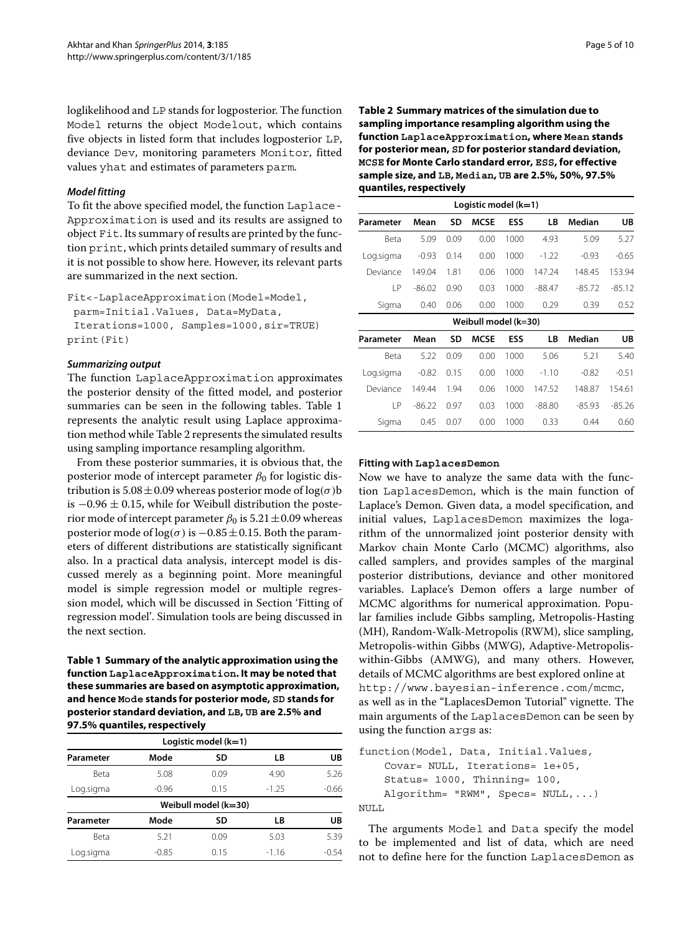loglikelihood and LP stands for logposterior. The function Model returns the object Modelout, which contains five objects in listed form that includes logposterior LP, deviance Dev, monitoring parameters Monitor, fitted values yhat and estimates of parameters parm.

#### *Model fitting*

To fit the above specified model, the function Laplace-Approximation is used and its results are assigned to object Fit. Its summary of results are printed by the function print, which prints detailed summary of results and it is not possible to show here. However, its relevant parts are summarized in the next section.

Fit<-LaplaceApproximation(Model=Model, parm=Initial.Values, Data=MyData, Iterations=1000, Samples=1000,sir=TRUE) print(Fit)

#### *Summarizing output*

The function LaplaceApproximation approximates the posterior density of the fitted model, and posterior summaries can be seen in the following tables. Table [1](#page-4-0) represents the analytic result using Laplace approximation method while Table [2](#page-4-1) represents the simulated results using sampling importance resampling algorithm.

From these posterior summaries, it is obvious that, the posterior mode of intercept parameter  $\beta_0$  for logistic distribution is  $5.08 \pm 0.09$  whereas posterior mode of  $log(\sigma)$ b is  $-0.96 \pm 0.15$ , while for Weibull distribution the posterior mode of intercept parameter  $\beta_0$  is 5.21  $\pm$ 0.09 whereas posterior mode of  $log(\sigma)$  is  $-0.85 \pm 0.15$ . Both the parameters of different distributions are statistically significant also. In a practical data analysis, intercept model is discussed merely as a beginning point. More meaningful model is simple regression model or multiple regression model, which will be discussed in Section 'Fitting of regression model'. Simulation tools are being discussed in the next section.

<span id="page-4-0"></span>**Table 1 Summary of the analytic approximation using the function LaplaceApproximation. It may be noted that these summaries are based on asymptotic approximation, and hence Mode stands for posterior mode, SD stands for posterior standard deviation, and LB, UB are 2.5% and 97.5% quantiles, respectively**

| Logistic model $(k=1)$ |         |                      |         |         |  |  |  |
|------------------------|---------|----------------------|---------|---------|--|--|--|
| Parameter              | Mode    | SD                   | LВ      | UB      |  |  |  |
| <b>Beta</b>            | 5.08    | 0.09                 | 4.90    | 5.26    |  |  |  |
| Log.sigma              | $-0.96$ | 0.15                 | $-1.25$ | $-0.66$ |  |  |  |
|                        |         | Weibull model (k=30) |         |         |  |  |  |
| Parameter              | Mode    | SD                   | LΒ      | UB      |  |  |  |
| <b>Beta</b>            | 5.21    | 0.09                 | 5.03    | 5.39    |  |  |  |
| Log.sigma              | $-0.85$ | 0.15                 | $-1.16$ | $-0.54$ |  |  |  |

<span id="page-4-1"></span>**Table 2 Summary matrices of the simulation due to sampling importance resampling algorithm using the function LaplaceApproximation, where Mean stands for posterior mean, SD for posterior standard deviation, MCSE for Monte Carlo standard error, ESS, for effective sample size, and LB, Median, UB are 2.5%, 50%, 97.5% quantiles, respectively**

| Logistic model (k=1) |          |           |                      |      |          |          |          |  |
|----------------------|----------|-----------|----------------------|------|----------|----------|----------|--|
| Parameter            | Mean     | SD        | <b>MCSE</b>          | ESS  | LB       | Median   | UB       |  |
| <b>Beta</b>          | 5.09     | 0.09      | 0.00                 | 1000 | 4.93     | 5.09     | 5.27     |  |
| Log.sigma            | $-0.93$  | 0.14      | 0.00                 | 1000 | $-1.22$  | $-0.93$  | $-0.65$  |  |
| Deviance             | 149.04   | 1.81      | 0.06                 | 1000 | 147.24   | 148.45   | 153.94   |  |
| ΙP                   | $-86.02$ | 0.90      | 0.03                 | 1000 | $-88.47$ | $-85.72$ | $-85.12$ |  |
| Sigma                | 0.40     | 0.06      | 0.00                 | 1000 | 0.29     | 0.39     | 0.52     |  |
|                      |          |           | Weibull model (k=30) |      |          |          |          |  |
| Parameter            | Mean     | <b>SD</b> | <b>MCSE</b>          | ESS  | LB       | Median   | UB       |  |
| Beta                 | 5.22     | 0.09      | 0.00                 | 1000 | 5.06     | 5.21     | 5.40     |  |
| Log.sigma            | $-0.82$  | 0.15      | 0.00                 | 1000 | $-1.10$  | $-0.82$  | $-0.51$  |  |
| Deviance             | 149.44   | 1.94      | 0.06                 | 1000 | 147.52   | 148.87   | 154.61   |  |
| ΙP                   | $-86.22$ | 0.97      | 0.03                 | 1000 | $-88.80$ | $-85.93$ | $-85.26$ |  |
| Sigma                | 0.45     | 0.07      | 0.00                 | 1000 | 0.33     | 0.44     | 0.60     |  |

#### **Fitting with LaplacesDemon**

Now we have to analyze the same data with the function LaplacesDemon, which is the main function of Laplace's Demon. Given data, a model specification, and initial values, LaplacesDemon maximizes the logarithm of the unnormalized joint posterior density with Markov chain Monte Carlo (MCMC) algorithms, also called samplers, and provides samples of the marginal posterior distributions, deviance and other monitored variables. Laplace's Demon offers a large number of MCMC algorithms for numerical approximation. Popular families include Gibbs sampling, Metropolis-Hasting (MH), Random-Walk-Metropolis (RWM), slice sampling, Metropolis-within Gibbs (MWG), Adaptive-Metropoliswithin-Gibbs (AMWG), and many others. However, details of MCMC algorithms are best explored online at http://www.bayesian-inference.com/mcmc, as well as in the "LaplacesDemon Tutorial" vignette. The main arguments of the LaplacesDemon can be seen by using the function args as:

```
function(Model, Data, Initial.Values,
    Covar= NULL, Iterations= 1e+05,
    Status= 1000, Thinning= 100,
    Algorithm= "RWM", Specs= NULL,...)
NULL
```
The arguments Model and Data specify the model to be implemented and list of data, which are need not to define here for the function LaplacesDemon as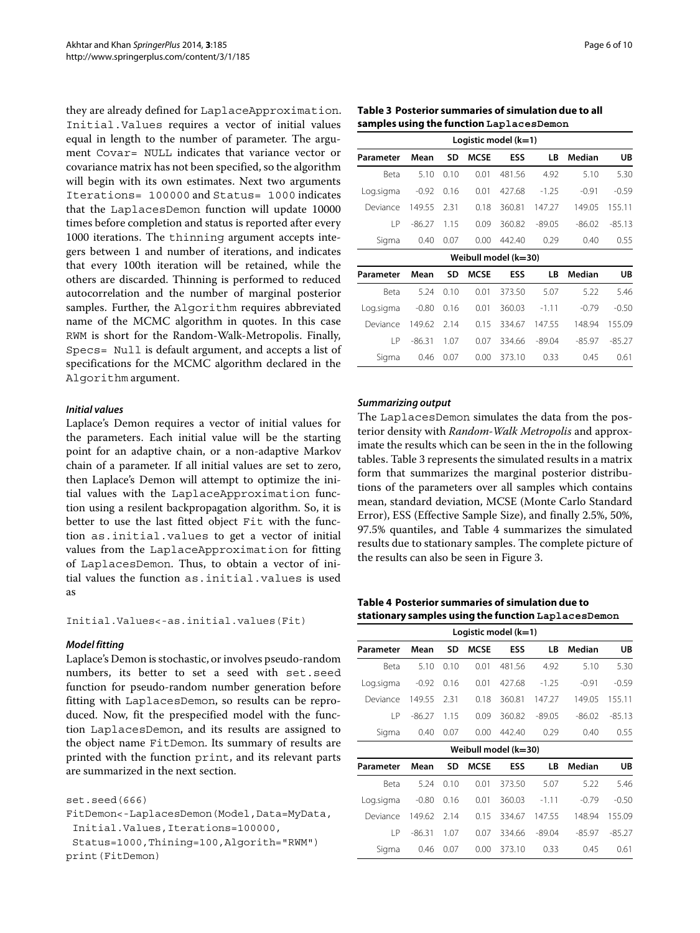they are already defined for LaplaceApproximation. Initial.Values requires a vector of initial values equal in length to the number of parameter. The argument Covar= NULL indicates that variance vector or covariance matrix has not been specified, so the algorithm will begin with its own estimates. Next two arguments Iterations= 100000 and Status= 1000 indicates that the LaplacesDemon function will update 10000 times before completion and status is reported after every 1000 iterations. The thinning argument accepts integers between 1 and number of iterations, and indicates that every 100th iteration will be retained, while the others are discarded. Thinning is performed to reduced autocorrelation and the number of marginal posterior samples. Further, the Algorithm requires abbreviated name of the MCMC algorithm in quotes. In this case RWM is short for the Random-Walk-Metropolis. Finally, Specs= Null is default argument, and accepts a list of specifications for the MCMC algorithm declared in the Algorithm argument.

#### *Initial values*

Laplace's Demon requires a vector of initial values for the parameters. Each initial value will be the starting point for an adaptive chain, or a non-adaptive Markov chain of a parameter. If all initial values are set to zero, then Laplace's Demon will attempt to optimize the initial values with the LaplaceApproximation function using a resilent backpropagation algorithm. So, it is better to use the last fitted object Fit with the function as.initial.values to get a vector of initial values from the LaplaceApproximation for fitting of LaplacesDemon. Thus, to obtain a vector of initial values the function as.initial.values is used as

#### Initial.Values<-as.initial.values(Fit)

#### *Model fitting*

Laplace's Demon is stochastic, or involves pseudo-random numbers, its better to set a seed with set.seed function for pseudo-random number generation before fitting with LaplacesDemon, so results can be reproduced. Now, fit the prespecified model with the function LaplacesDemon, and its results are assigned to the object name FitDemon. Its summary of results are printed with the function print, and its relevant parts are summarized in the next section.

set.seed(666)

FitDemon<-LaplacesDemon(Model,Data=MyData, Initial.Values,Iterations=100000, Status=1000,Thining=100,Algorith="RWM") print(FitDemon)

<span id="page-5-0"></span>

| Table 3 Posterior summaries of simulation due to all |
|------------------------------------------------------|
| samples using the function LaplacesDemon             |

|           | Logistic model $(k=1)$ |      |             |                      |          |          |          |  |  |
|-----------|------------------------|------|-------------|----------------------|----------|----------|----------|--|--|
| Parameter | Mean                   | SD   | <b>MCSE</b> | ESS                  | LB       | Median   | UB       |  |  |
| Beta      | 5.10                   | 0.10 | 0.01        | 481.56               | 4.92     | 5.10     | 5.30     |  |  |
| Log.sigma | $-0.92$                | 0.16 | 0.01        | 427.68               | $-1.25$  | $-0.91$  | $-0.59$  |  |  |
| Deviance  | 149.55                 | 2.31 | 0.18        | 360.81               | 147.27   | 149.05   | 155.11   |  |  |
| P         | $-86.27$               | 1.15 | 0.09        | 360.82               | $-89.05$ | $-86.02$ | $-85.13$ |  |  |
| Sigma     | 0.40                   | 0.07 | 0.00        | 442.40               | 0.29     | 0.40     | 0.55     |  |  |
|           |                        |      |             | Weibull model (k=30) |          |          |          |  |  |
| Parameter | Mean                   | SD   | <b>MCSE</b> | ESS                  | LB       | Median   | UB       |  |  |
| Beta      | 5.24                   | 0.10 | 0.01        | 373.50               | 5.07     | 5.22     | 5.46     |  |  |
| Log.sigma | $-0.80$                | 0.16 | 0.01        | 360.03               | $-1.11$  | $-0.79$  | $-0.50$  |  |  |
| Deviance  | 149.62                 | 2.14 | 0.15        | 334.67               | 147.55   | 148.94   | 155.09   |  |  |
| ΙP        | $-86.31$               | 1.07 | 0.07        | 334.66               | $-89.04$ | $-85.97$ | $-85.27$ |  |  |
| Sigma     | 0.46                   | 0.07 | 0.00        | 373.10               | 0.33     | 0.45     | 0.61     |  |  |

#### *Summarizing output*

The LaplacesDemon simulates the data from the posterior density with *Random-Walk Metropolis* and approximate the results which can be seen in the in the following tables. Table [3](#page-5-0) represents the simulated results in a matrix form that summarizes the marginal posterior distributions of the parameters over all samples which contains mean, standard deviation, MCSE (Monte Carlo Standard Error), ESS (Effective Sample Size), and finally 2.5%, 50%, 97.5% quantiles, and Table [4](#page-5-1) summarizes the simulated results due to stationary samples. The complete picture of the results can also be seen in Figure [3.](#page-6-0)

<span id="page-5-1"></span>**Table 4 Posterior summaries of simulation due to stationary samples using the function LaplacesDemon**

| Logistic model $(k=1)$ |          |      |             |                      |          |          |          |  |
|------------------------|----------|------|-------------|----------------------|----------|----------|----------|--|
| Parameter              | Mean     | SD   | <b>MCSE</b> | ESS                  | LB       | Median   | UB       |  |
| Beta                   | 5.10     | 0.10 | 0.01        | 481.56               | 4.92     | 5.10     | 5.30     |  |
| Log.sigma              | $-0.92$  | 0.16 | 0.01        | 427.68               | $-1.25$  | $-0.91$  | $-0.59$  |  |
| Deviance               | 149.55   | 2.31 | 0.18        | 360.81               | 147.27   | 149.05   | 155.11   |  |
| ΙP                     | $-86.27$ | 1.15 | 0.09        | 360.82               | $-89.05$ | $-86.02$ | $-85.13$ |  |
| Sigma                  | 0.40     | 0.07 | 0.00        | 442.40               | 0.29     | 0.40     | 0.55     |  |
|                        |          |      |             | Weibull model (k=30) |          |          |          |  |
| Parameter              | Mean     | SD   | <b>MCSE</b> | ESS                  | LB       | Median   | UB       |  |
| Beta                   | 5.24     | 0.10 | 0.01        | 373.50               | 5.07     | 5.22     | 5.46     |  |
| Log.sigma              | $-0.80$  | 0.16 | 0.01        | 360.03               | $-1.11$  | $-0.79$  | $-0.50$  |  |
| Deviance               | 149.62   | 2.14 | 0.15        | 334.67               | 147.55   | 148.94   | 155.09   |  |

LP -86.31 1.07 0.07 334.66 -89.04 -85.97 -85.27 Sigma 0.46 0.07 0.00 373.10 0.33 0.45 0.61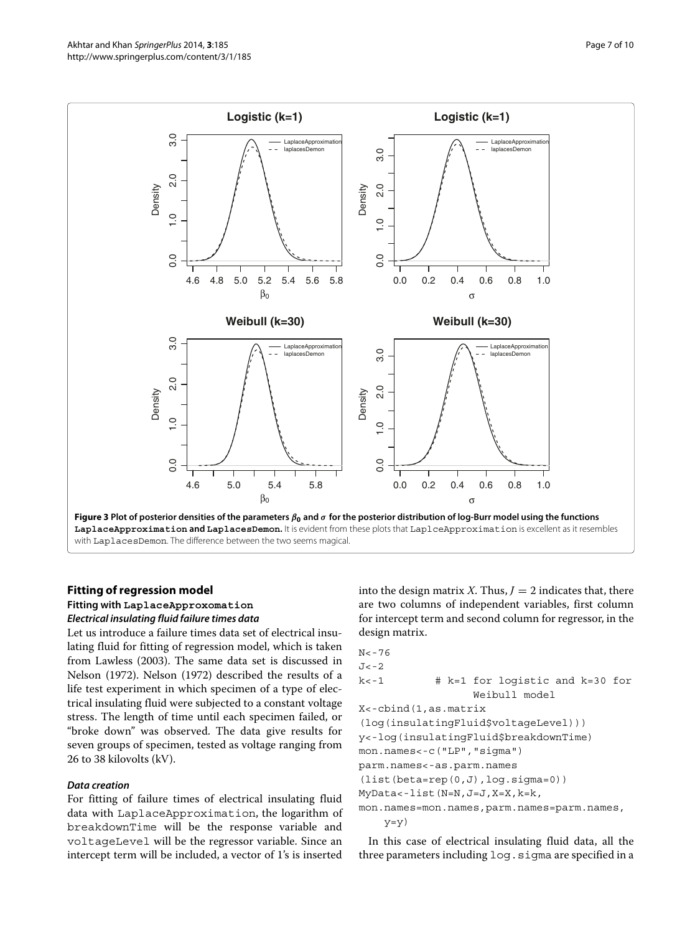

#### <span id="page-6-0"></span>**Fitting of regression model**

# **Fitting with LaplaceApproxomation** *Electrical insulating fluid failure times data*

Let us introduce a failure times data set of electrical insulating fluid for fitting of regression model, which is taken from Lawless [\(2003\)](#page-9-1). The same data set is discussed in Nelson [\(1972\)](#page-9-8). Nelson [\(1972\)](#page-9-8) described the results of a life test experiment in which specimen of a type of electrical insulating fluid were subjected to a constant voltage stress. The length of time until each specimen failed, or "broke down" was observed. The data give results for seven groups of specimen, tested as voltage ranging from 26 to 38 kilovolts (kV).

#### *Data creation*

For fitting of failure times of electrical insulating fluid data with LaplaceApproximation, the logarithm of breakdownTime will be the response variable and voltageLevel will be the regressor variable. Since an intercept term will be included, a vector of 1's is inserted

into the design matrix *X*. Thus,  $J = 2$  indicates that, there are two columns of independent variables, first column for intercept term and second column for regressor, in the design matrix.

```
N < -76J < -2k<-1 # k=1 for logistic and k=30 for
                  Weibull model
X<-cbind(1,as.matrix
(log(insulatingFluid$voltageLevel)))
y<-log(insulatingFluid$breakdownTime)
mon.names<-c("LP","sigma")
parm.names<-as.parm.names
(list(beta=rep(0,J),log.sigma=0))
MyData<-list(N=N,J=J,X=X,k=k,
mon.names=mon.names,parm.names=parm.names,
    y=y)
```
In this case of electrical insulating fluid data, all the three parameters including log.sigma are specified in a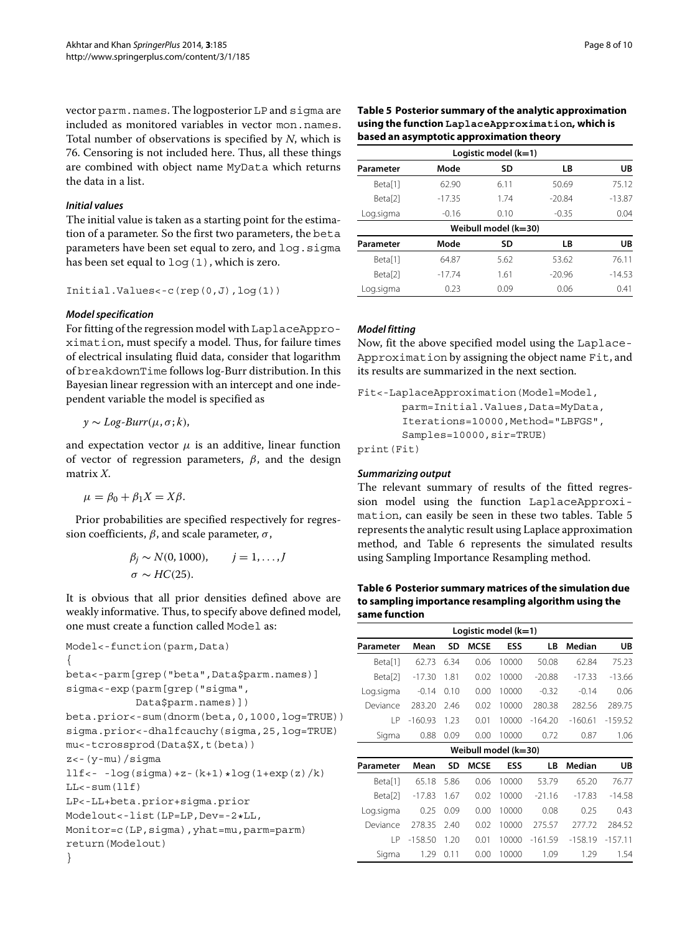vector parm.names. The logposterior LP and sigma are included as monitored variables in vector mon.names. Total number of observations is specified by *N*, which is 76. Censoring is not included here. Thus, all these things are combined with object name MyData which returns the data in a list.

#### *Initial values*

The initial value is taken as a starting point for the estimation of a parameter. So the first two parameters, the beta parameters have been set equal to zero, and log.sigma has been set equal to  $log(1)$ , which is zero.

Initial.Values<-c(rep(0,J),log(1))

#### *Model specification*

For fitting of the regression model with LaplaceApproximation, must specify a model. Thus, for failure times of electrical insulating fluid data, consider that logarithm of breakdownTime follows log-Burr distribution. In this Bayesian linear regression with an intercept and one independent variable the model is specified as

 $\gamma \sim Log-Burr(\mu, \sigma; k),$ 

and expectation vector  $\mu$  is an additive, linear function of vector of regression parameters,  $\beta$ , and the design matrix *X*.

 $\mu = \beta_0 + \beta_1 X = X\beta.$ 

Prior probabilities are specified respectively for regression coefficients,  $β$ , and scale parameter,  $σ$ ,

$$
\beta_j \sim N(0, 1000), \qquad j = 1, \ldots, J
$$

$$
\sigma \sim HC(25).
$$

It is obvious that all prior densities defined above are weakly informative. Thus, to specify above defined model, one must create a function called Model as:

```
Model<-function(parm,Data)
{
beta<-parm[grep("beta",Data$parm.names)]
sigma<-exp(parm[grep("sigma",
           Data$parm.names)])
beta.prior<-sum(dnorm(beta,0,1000,log=TRUE))
sigma.prior<-dhalfcauchy(sigma,25,log=TRUE)
mu<-tcrossprod(Data$X,t(beta))
z<-(y-mu)/sigma
llf <- - log(sigma) +z-(k+1) *log(1+exp(z)/k)
LL < -sum(11f)LP<-LL+beta.prior+sigma.prior
Modelout<-list(LP=LP,Dev=-2*LL,
Monitor=c(LP,sigma),yhat=mu,parm=parm)
return(Modelout)
}
```
<span id="page-7-0"></span>

| Table 5 Posterior summary of the analytic approximation |
|---------------------------------------------------------|
| using the function LaplaceApproximation, which is       |
| based an asymptotic approximation theory                |

| Logistic model (k=1) |          |                      |          |          |  |  |  |
|----------------------|----------|----------------------|----------|----------|--|--|--|
| Parameter            | Mode     | SD                   | LB       | UB       |  |  |  |
| Beta[1]              | 62.90    | 6.11                 | 50.69    | 75.12    |  |  |  |
| Beta <sup>[2]</sup>  | $-17.35$ | 1.74                 | $-20.84$ | $-13.87$ |  |  |  |
| Log.sigma            | $-0.16$  | 0.10                 | $-0.35$  | 0.04     |  |  |  |
|                      |          | Weibull model (k=30) |          |          |  |  |  |
| Parameter            | Mode     | SD                   | LB       | UB       |  |  |  |
| Beta[1]              | 64.87    | 5.62                 | 53.62    | 76.11    |  |  |  |
| Beta <sup>[2]</sup>  | $-17.74$ | 1.61                 | $-20.96$ | $-14.53$ |  |  |  |
| Log.sigma            | 0.23     | 0.09                 | 0.06     | 0.41     |  |  |  |

#### *Model fitting*

Now, fit the above specified model using the Laplace-Approximation by assigning the object name Fit, and its results are summarized in the next section.

Fit<-LaplaceApproximation(Model=Model, parm=Initial.Values,Data=MyData, Iterations=10000,Method="LBFGS", Samples=10000,sir=TRUE)

print(Fit)

#### *Summarizing output*

The relevant summary of results of the fitted regression model using the function LaplaceApproximation, can easily be seen in these two tables. Table [5](#page-7-0) represents the analytic result using Laplace approximation method, and Table [6](#page-7-1) represents the simulated results using Sampling Importance Resampling method.

## <span id="page-7-1"></span>**Table 6 Posterior summary matrices of the simulation due to sampling importance resampling algorithm using the same function**

|                     | Logistic model (k=1) |      |                      |            |           |           |           |  |  |
|---------------------|----------------------|------|----------------------|------------|-----------|-----------|-----------|--|--|
| Parameter           | Mean                 | SD   | <b>MCSE</b>          | ESS        | LB        | Median    | UB        |  |  |
| Beta[1]             | 62.73                | 6.34 | 0.06                 | 10000      | 50.08     | 62.84     | 75.23     |  |  |
| Beta <sup>[2]</sup> | $-17.30$             | 1.81 | 0.02                 | 10000      | $-20.88$  | $-17.33$  | $-13.66$  |  |  |
| Log.sigma           | $-0.14$              | 0.10 | 0.00                 | 10000      | $-0.32$   | $-0.14$   | 0.06      |  |  |
| Deviance            | 283.20               | 2.46 | 0.02                 | 10000      | 280.38    | 282.56    | 289.75    |  |  |
| ΙP                  | $-160.93$            | 1.23 | 0.01                 | 10000      | $-164.20$ | $-160.61$ | $-159.52$ |  |  |
| Sigma               | 0.88                 | 0.09 | 0.00                 | 10000      | 0.72      | 0.87      | 1.06      |  |  |
|                     |                      |      | Weibull model (k=30) |            |           |           |           |  |  |
| Parameter           | Mean                 | SD   | <b>MCSE</b>          | <b>ESS</b> | LB.       | Median    | UB        |  |  |
| Beta[1]             | 65.18                | 5.86 | 0.06                 | 10000      | 53.79     | 65.20     | 76.77     |  |  |
| Beta <sup>[2]</sup> | $-17.83$             | 1.67 | 0.02                 | 10000      | $-21.16$  | $-17.83$  | $-14.58$  |  |  |
| Log.sigma           | 0.25                 | 0.09 | 0.00                 | 10000      | 0.08      | 0.25      | 0.43      |  |  |
| Deviance            | 278.35               | 2.40 | 0.02                 | 10000      | 275.57    | 277.72    | 284.52    |  |  |
| ΙP                  | $-158.50$            | 1.20 | 0.01                 | 10000      | $-161.59$ | $-158.19$ | $-157.11$ |  |  |
| Sigma               | 1.29                 | 0.11 | 0.00                 | 10000      | 1.09      | 1.29      | 1.54      |  |  |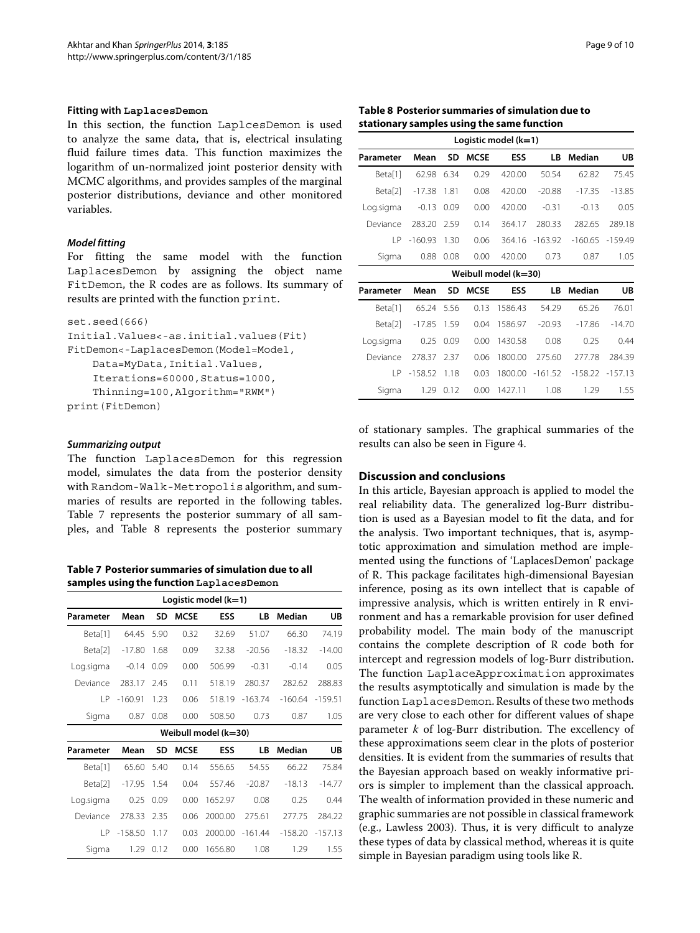#### **Fitting with LaplacesDemon**

In this section, the function LaplcesDemon is used to analyze the same data, that is, electrical insulating fluid failure times data. This function maximizes the logarithm of un-normalized joint posterior density with MCMC algorithms, and provides samples of the marginal posterior distributions, deviance and other monitored variables.

#### *Model fitting*

For fitting the same model with the function LaplacesDemon by assigning the object name FitDemon, the R codes are as follows. Its summary of results are printed with the function print.

```
set.seed(666)
Initial.Values<-as.initial.values(Fit)
```

```
FitDemon<-LaplacesDemon(Model=Model,
   Data=MyData, Initial.Values,
    Iterations=60000, Status=1000,
   Thinning=100,Algorithm="RWM")
```
print(FitDemon)

#### *Summarizing output*

The function LaplacesDemon for this regression model, simulates the data from the posterior density with Random-Walk-Metropolis algorithm, and summaries of results are reported in the following tables. Table [7](#page-8-0) represents the posterior summary of all samples, and Table [8](#page-8-1) represents the posterior summary

<span id="page-8-0"></span>**Table 7 Posterior summaries of simulation due to all samples using the function LaplacesDemon**

| Logistic model $(k=1)$ |           |      |             |                      |           |               |           |  |
|------------------------|-----------|------|-------------|----------------------|-----------|---------------|-----------|--|
| Parameter              | Mean      | SD   | <b>MCSE</b> | <b>ESS</b>           | LB.       | Median        | UB        |  |
| Beta[1]                | 64.45     | 5.90 | 0.32        | 32.69                | 51.07     | 66.30         | 74.19     |  |
| Beta[2]                | $-17.80$  | 1.68 | 0.09        | 32.38                | $-20.56$  | $-18.32$      | $-14.00$  |  |
| Log.sigma              | $-0.14$   | 0.09 | 0.00        | 506.99               | $-0.31$   | $-0.14$       | 0.05      |  |
| Deviance               | 283.17    | 2.45 | 0.11        | 518.19               | 280.37    | 282.62        | 288.83    |  |
| ΙP                     | $-160.91$ | 1.23 | 0.06        | 518.19               | $-163.74$ | $-160.64$     | $-159.51$ |  |
| Sigma                  | 0.87      | 0.08 | 0.00        | 508.50               | 0.73      | 0.87          | 1.05      |  |
|                        |           |      |             | Weibull model (k=30) |           |               |           |  |
| Parameter              | Mean      | SD   | <b>MCSE</b> | <b>ESS</b>           | LB.       | <b>Median</b> | UB        |  |
| Beta[1]                | 65.60     | 5.40 | 0.14        | 556.65               | 54.55     | 66.22         | 75.84     |  |
| Beta[2]                | $-17.95$  | 1.54 | 0.04        | 557.46               | $-20.87$  | $-18.13$      | $-14.77$  |  |
| Log.sigma              | 0.25      | 0.09 | 0.00        | 1652.97              | 0.08      | 0.25          | 0.44      |  |
| Deviance               | 278.33    | 2.35 | 0.06        | 2000.00              | 275.61    | 277.75        | 284.22    |  |
| ΙP                     | $-158.50$ | 1.17 | 0.03        | 2000.00              | $-161.44$ | $-158.20$     | $-157.13$ |  |
| Sigma                  | 1.29      | 0.12 | 0.00        | 1656.80              | 1.08      | 1.29          | 1.55      |  |

<span id="page-8-1"></span>

| Table 8 Posterior summaries of simulation due to |
|--------------------------------------------------|
| stationary samples using the same function       |

|                     | Logistic model $(k=1)$ |      |             |                      |           |           |           |  |  |
|---------------------|------------------------|------|-------------|----------------------|-----------|-----------|-----------|--|--|
| Parameter           | Mean                   | SD   | <b>MCSE</b> | ESS                  | LB        | Median    | UB        |  |  |
| Beta[1]             | 62.98                  | 6.34 | 0.29        | 420.00               | 50.54     | 62.82     | 75.45     |  |  |
| Beta[2]             | $-17.38$               | 1.81 | 0.08        | 420.00               | $-20.88$  | $-17.35$  | $-13.85$  |  |  |
| Log.sigma           | $-0.13$                | 0.09 | 0.00        | 420.00               | $-0.31$   | $-0.13$   | 0.05      |  |  |
| Deviance            | 283.20                 | 2.59 | 0.14        | 364.17               | 280.33    | 282.65    | 289.18    |  |  |
| ΙP                  | $-160.93$              | 1.30 | 0.06        | 364.16               | $-163.92$ | $-160.65$ | $-159.49$ |  |  |
| Sigma               | 0.88                   | 0.08 | 0.00        | 420.00               | 0.73      | 0.87      | 1.05      |  |  |
|                     |                        |      |             | Weibull model (k=30) |           |           |           |  |  |
| Parameter           | Mean                   | SD   | <b>MCSE</b> | ESS                  | LB        | Median    | UB        |  |  |
| Beta[1]             | 65.24                  | 5.56 | 0.13        | 1586.43              | 54.29     | 65.26     | 76.01     |  |  |
| Beta <sup>[2]</sup> | $-17.85$               | 1.59 | 0.04        | 1586.97              | $-20.93$  | $-17.86$  | $-14.70$  |  |  |
| Log.sigma           | 0.25                   | 0.09 | 0.00        | 1430.58              | 0.08      | 0.25      | 0.44      |  |  |
| Deviance            | 278.37                 | 2.37 | 0.06        | 1800.00              | 275.60    | 277.78    | 284.39    |  |  |
| ΙP                  | $-158.52$              | 1.18 | 0.03        | 1800.00              | $-161.52$ | $-158.22$ | $-157.13$ |  |  |
| Sigma               | 1.29                   | 0.12 | 0.00        | 1427.11              | 1.08      | 1.29      | 1.55      |  |  |

of stationary samples. The graphical summaries of the results can also be seen in Figure [4.](#page-9-9)

# **Discussion and conclusions**

In this article, Bayesian approach is applied to model the real reliability data. The generalized log-Burr distribution is used as a Bayesian model to fit the data, and for the analysis. Two important techniques, that is, asymptotic approximation and simulation method are implemented using the functions of 'LaplacesDemon' package of R. This package facilitates high-dimensional Bayesian inference, posing as its own intellect that is capable of impressive analysis, which is written entirely in R environment and has a remarkable provision for user defined probability model. The main body of the manuscript contains the complete description of R code both for intercept and regression models of log-Burr distribution. The function LaplaceApproximation approximates the results asymptotically and simulation is made by the function LaplacesDemon. Results of these two methods are very close to each other for different values of shape parameter *k* of log-Burr distribution. The excellency of these approximations seem clear in the plots of posterior densities. It is evident from the summaries of results that the Bayesian approach based on weakly informative priors is simpler to implement than the classical approach. The wealth of information provided in these numeric and graphic summaries are not possible in classical framework (e.g., Lawless [2003\)](#page-9-1). Thus, it is very difficult to analyze these types of data by classical method, whereas it is quite simple in Bayesian paradigm using tools like R.